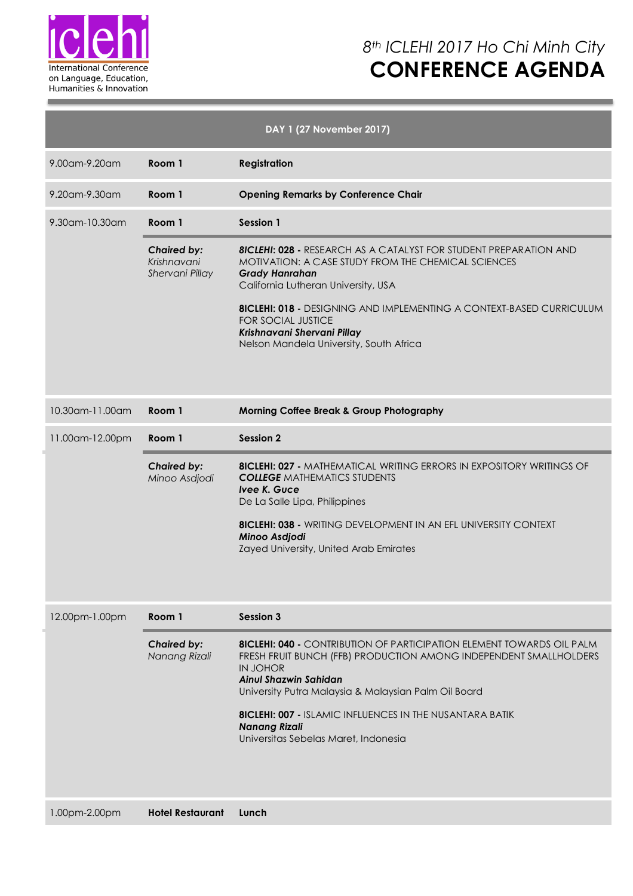

## *8th ICLEHI 2017 Ho Chi Minh City* **CONFERENCE AGENDA**

| DAY 1 (27 November 2017) |                                                      |                                                                                                                                                                                                                                                                                                                                                                                                 |  |  |  |  |  |
|--------------------------|------------------------------------------------------|-------------------------------------------------------------------------------------------------------------------------------------------------------------------------------------------------------------------------------------------------------------------------------------------------------------------------------------------------------------------------------------------------|--|--|--|--|--|
| 9.00am-9.20am            | Room 1                                               | <b>Registration</b>                                                                                                                                                                                                                                                                                                                                                                             |  |  |  |  |  |
| 9.20am-9.30am            | Room 1                                               | <b>Opening Remarks by Conference Chair</b>                                                                                                                                                                                                                                                                                                                                                      |  |  |  |  |  |
| 9.30am-10.30am           | Room 1                                               | <b>Session 1</b>                                                                                                                                                                                                                                                                                                                                                                                |  |  |  |  |  |
|                          | <b>Chaired by:</b><br>Krishnavani<br>Shervani Pillay | <b>8ICLEHI: 028 - RESEARCH AS A CATALYST FOR STUDENT PREPARATION AND</b><br>MOTIVATION: A CASE STUDY FROM THE CHEMICAL SCIENCES<br><b>Grady Hanrahan</b><br>California Lutheran University, USA<br><b>8ICLEHI: 018 -</b> DESIGNING AND IMPLEMENTING A CONTEXT-BASED CURRICULUM<br><b>FOR SOCIAL JUSTICE</b><br>Krishnavani Shervani Pillay<br>Nelson Mandela University, South Africa           |  |  |  |  |  |
| 10.30am-11.00am          | Room 1                                               | <b>Morning Coffee Break &amp; Group Photography</b>                                                                                                                                                                                                                                                                                                                                             |  |  |  |  |  |
| 11.00am-12.00pm          | Room 1                                               | <b>Session 2</b>                                                                                                                                                                                                                                                                                                                                                                                |  |  |  |  |  |
|                          | <b>Chaired by:</b><br>Minoo Asdjodi                  | <b>8ICLEHI: 027 - MATHEMATICAL WRITING ERRORS IN EXPOSITORY WRITINGS OF</b><br><b>COLLEGE MATHEMATICS STUDENTS</b><br>Ivee K. Guce<br>De La Salle Lipa, Philippines<br><b>8ICLEHI: 038 - WRITING DEVELOPMENT IN AN EFL UNIVERSITY CONTEXT</b><br>Minoo Asdjodi<br>Zayed University, United Arab Emirates                                                                                        |  |  |  |  |  |
| 12.00pm-1.00pm           | Room 1                                               | <b>Session 3</b>                                                                                                                                                                                                                                                                                                                                                                                |  |  |  |  |  |
|                          | <b>Chaired by:</b><br>Nanang Rizali                  | <b>8ICLEHI: 040 -</b> CONTRIBUTION OF PARTICIPATION ELEMENT TOWARDS OIL PALM<br>FRESH FRUIT BUNCH (FFB) PRODUCTION AMONG INDEPENDENT SMALLHOLDERS<br><b>IN JOHOR</b><br><b>Ainul Shazwin Sahidan</b><br>University Putra Malaysia & Malaysian Palm Oil Board<br><b>8ICLEHI: 007 - ISLAMIC INFLUENCES IN THE NUSANTARA BATIK</b><br><b>Nanang Rizali</b><br>Universitas Sebelas Maret, Indonesia |  |  |  |  |  |
| 1.00pm-2.00pm            | <b>Hotel Restaurant</b>                              | Lunch                                                                                                                                                                                                                                                                                                                                                                                           |  |  |  |  |  |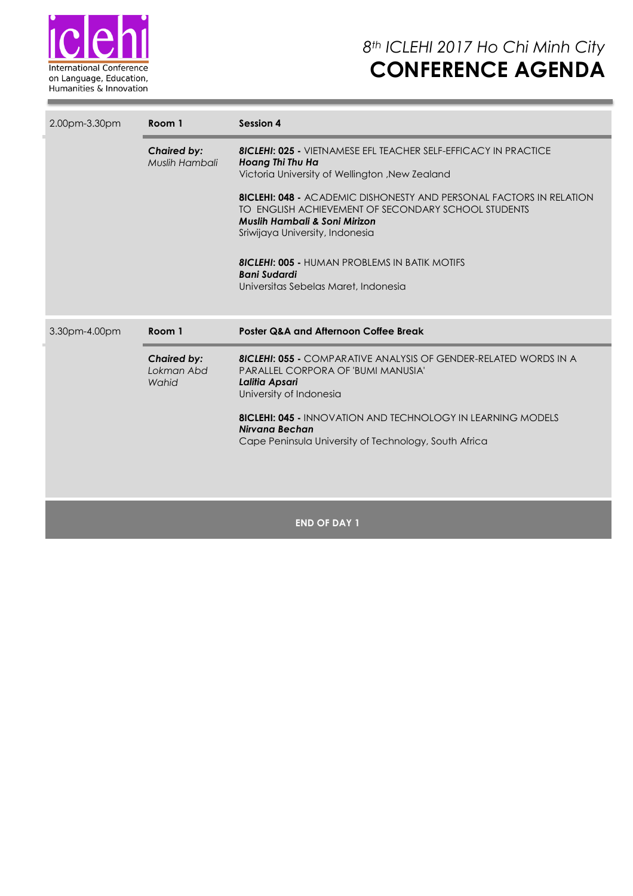

| 2.00pm-3.30pm | Room 1                               | Session 4                                                                                                                                                                                                                        |  |  |  |  |
|---------------|--------------------------------------|----------------------------------------------------------------------------------------------------------------------------------------------------------------------------------------------------------------------------------|--|--|--|--|
|               | <b>Chaired by:</b><br>Muslih Hambali | <b>8ICLEHI: 025 -</b> VIETNAMESE EFL TEACHER SELF-EFFICACY IN PRACTICE<br>Hoang Thi Thu Ha<br>Victoria University of Wellington, New Zealand                                                                                     |  |  |  |  |
|               |                                      | <b>8ICLEHI: 048 - ACADEMIC DISHONESTY AND PERSONAL FACTORS IN RELATION</b><br>TO ENGLISH ACHIEVEMENT OF SECONDARY SCHOOL STUDENTS<br>Muslih Hambali & Soni Mirizon<br>Sriwijaya University, Indonesia                            |  |  |  |  |
|               |                                      | <b>8ICLEHI: 005 - HUMAN PROBLEMS IN BATIK MOTIFS</b><br><b>Bani Sudardi</b><br>Universitas Sebelas Maret, Indonesia                                                                                                              |  |  |  |  |
| 3.30pm-4.00pm | Room 1                               | Poster Q&A and Afternoon Coffee Break                                                                                                                                                                                            |  |  |  |  |
|               | <b>Chaired by:</b>                   | <b>8ICLEHI: 055 -</b> COMPARATIVE ANALYSIS OF GENDER-RELATED WORDS IN A                                                                                                                                                          |  |  |  |  |
|               | Lokman Abd<br>Wahid                  | PARALLEL CORPORA OF 'BUMI MANUSIA'<br>Lalitia Apsari<br>University of Indonesia<br><b>8ICLEHI: 045 - INNOVATION AND TECHNOLOGY IN LEARNING MODELS</b><br>Nirvana Bechan<br>Cape Peninsula University of Technology, South Africa |  |  |  |  |

### **END OF DAY 1**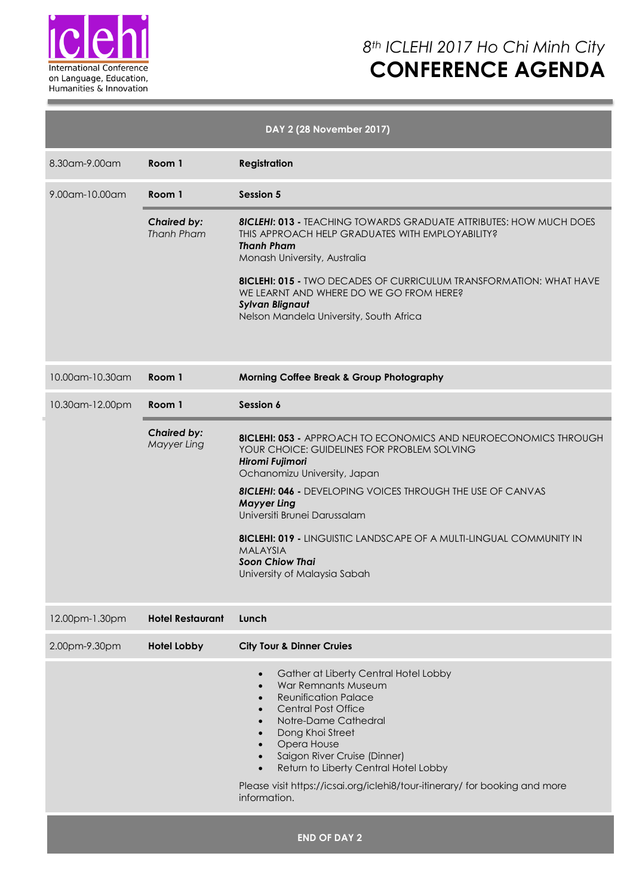

## *8th ICLEHI 2017 Ho Chi Minh City* **CONFERENCE AGENDA**

|                 |                                   | DAY 2 (28 November 2017)                                                                                                                                                                                                                                                                                                                                                                                                                                       |
|-----------------|-----------------------------------|----------------------------------------------------------------------------------------------------------------------------------------------------------------------------------------------------------------------------------------------------------------------------------------------------------------------------------------------------------------------------------------------------------------------------------------------------------------|
| 8.30am-9.00am   | Room 1                            | <b>Registration</b>                                                                                                                                                                                                                                                                                                                                                                                                                                            |
| 9.00am-10.00am  | Room 1                            | <b>Session 5</b>                                                                                                                                                                                                                                                                                                                                                                                                                                               |
|                 | <b>Chaired by:</b><br>Thanh Pham  | <b>8ICLEHI: 013 - TEACHING TOWARDS GRADUATE ATTRIBUTES: HOW MUCH DOES</b><br>THIS APPROACH HELP GRADUATES WITH EMPLOYABILITY?<br><b>Thanh Pham</b><br>Monash University, Australia<br><b>8ICLEHI: 015 - TWO DECADES OF CURRICULUM TRANSFORMATION: WHAT HAVE</b><br>WE LEARNT AND WHERE DO WE GO FROM HERE?<br><b>Sylvan Blignaut</b><br>Nelson Mandela University, South Africa                                                                                |
| 10.00am-10.30am | Room 1                            | <b>Morning Coffee Break &amp; Group Photography</b>                                                                                                                                                                                                                                                                                                                                                                                                            |
| 10.30am-12.00pm | Room 1                            | Session 6                                                                                                                                                                                                                                                                                                                                                                                                                                                      |
|                 | <b>Chaired by:</b><br>Mayyer Ling | <b>8ICLEHI: 053 - APPROACH TO ECONOMICS AND NEUROECONOMICS THROUGH</b><br>YOUR CHOICE: GUIDELINES FOR PROBLEM SOLVING<br>Hiromi Fujimori<br>Ochanomizu University, Japan<br><b>8ICLEHI: 046 - DEVELOPING VOICES THROUGH THE USE OF CANVAS</b><br><b>Mayyer Ling</b><br>Universiti Brunei Darussalam<br><b>8ICLEHI: 019 - LINGUISTIC LANDSCAPE OF A MULTI-LINGUAL COMMUNITY IN</b><br><b>MALAYSIA</b><br><b>Soon Chiow Thai</b><br>University of Malaysia Sabah |
| 12.00pm-1.30pm  | <b>Hotel Restaurant</b>           | Lunch                                                                                                                                                                                                                                                                                                                                                                                                                                                          |
| 2.00pm-9.30pm   | <b>Hotel Lobby</b>                | <b>City Tour &amp; Dinner Cruies</b>                                                                                                                                                                                                                                                                                                                                                                                                                           |
|                 |                                   | Gather at Liberty Central Hotel Lobby<br>$\bullet$<br><b>War Remnants Museum</b><br>$\bullet$<br><b>Reunification Palace</b><br>$\bullet$<br><b>Central Post Office</b><br>$\bullet$<br>Notre-Dame Cathedral<br>$\bullet$<br>Dong Khoi Street<br>$\bullet$<br>Opera House<br>Saigon River Cruise (Dinner)<br>Return to Liberty Central Hotel Lobby<br>$\bullet$<br>Please visit https://icsai.org/iclehi8/tour-itinerary/ for booking and more<br>information. |
|                 |                                   | <b>END OF DAY 2</b>                                                                                                                                                                                                                                                                                                                                                                                                                                            |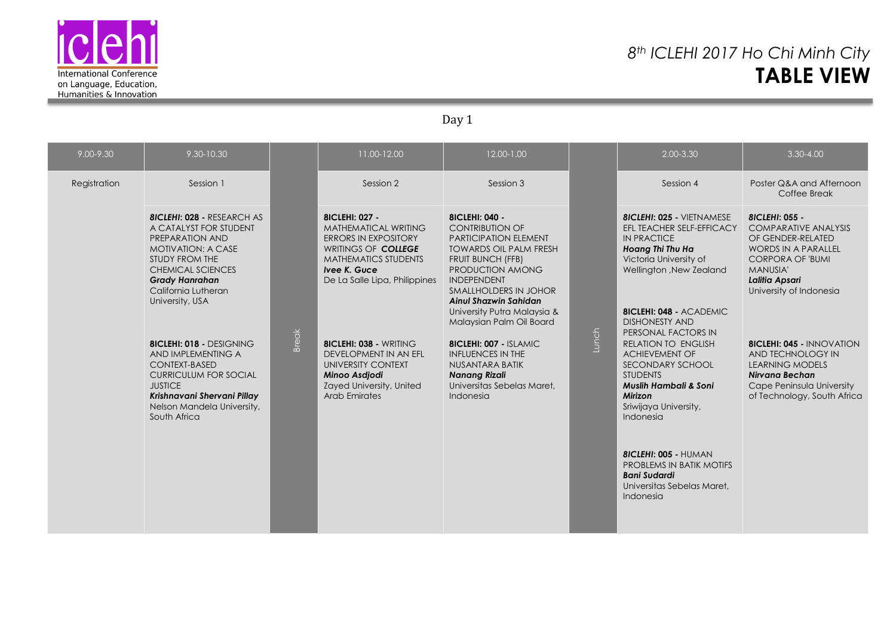

### *8th ICLEHI 2017 Ho Chi Minh City* **TABLE VIEW**

Day 1

| 9.00-9.30    | 9.30-10.30                                                                                                                                                                                                                   |              | 11.00-12.00                                                                                                                                                                         | 12.00-1.00                                                                                                                                                                                                                                                                             |       | 2.00-3.30                                                                                                                                                                                                                                                                                                                  | 3.30-4.00                                                                                                                                                                            |
|--------------|------------------------------------------------------------------------------------------------------------------------------------------------------------------------------------------------------------------------------|--------------|-------------------------------------------------------------------------------------------------------------------------------------------------------------------------------------|----------------------------------------------------------------------------------------------------------------------------------------------------------------------------------------------------------------------------------------------------------------------------------------|-------|----------------------------------------------------------------------------------------------------------------------------------------------------------------------------------------------------------------------------------------------------------------------------------------------------------------------------|--------------------------------------------------------------------------------------------------------------------------------------------------------------------------------------|
| Registration | Session 1                                                                                                                                                                                                                    |              | Session 2                                                                                                                                                                           | Session 3                                                                                                                                                                                                                                                                              |       | Session 4                                                                                                                                                                                                                                                                                                                  | Poster Q&A and Afternoon<br>Coffee Break                                                                                                                                             |
|              | <b>8ICLEHI: 028 - RESEARCH AS</b><br>A CATALYST FOR STUDENT<br>PREPARATION AND<br><b>MOTIVATION: A CASE</b><br>STUDY FROM THE<br><b>CHEMICAL SCIENCES</b><br><b>Grady Hanrahan</b><br>California Lutheran<br>University, USA | <b>Break</b> | <b>8ICLEHI: 027 -</b><br>MATHEMATICAL WRITING<br><b>ERRORS IN EXPOSITORY</b><br>WRITINGS OF COLLEGE<br><b>MATHEMATICS STUDENTS</b><br>Ivee K. Guce<br>De La Salle Lipa, Philippines | 81 CLEHI: 040 -<br><b>CONTRIBUTION OF</b><br><b>PARTICIPATION ELEMENT</b><br><b>TOWARDS OIL PALM FRESH</b><br>FRUIT BUNCH (FFB)<br>PRODUCTION AMONG<br><b>INDEPENDENT</b><br>SMALLHOLDERS IN JOHOR<br>Ainul Shazwin Sahidan<br>University Putra Malaysia &<br>Malaysian Palm Oil Board | Lunch | <b>8ICLEHI: 025 - VIETNAMESE</b><br>EFL TEACHER SELF-EFFICACY<br><b>IN PRACTICE</b><br>Hoang Thi Thu Ha<br>Victoria University of<br>Wellington , New Zealand<br><b>8ICLEHI: 048 - ACADEMIC</b><br><b>DISHONESTY AND</b><br>PERSONAL FACTORS IN                                                                            | 8ICLEHI: 055 -<br><b>COMPARATIVE ANALYSIS</b><br>OF GENDER-RELATED<br>WORDS IN A PARALLEL<br><b>CORPORA OF 'BUMI</b><br><b>MANUSIA'</b><br>Lalitia Apsari<br>University of Indonesia |
|              | <b>8ICLEHI: 018 - DESIGNING</b><br>AND IMPLEMENTING A<br><b>CONTEXT-BASED</b><br><b>CURRICULUM FOR SOCIAL</b><br><b>JUSTICE</b><br>Krishnavani Shervani Pillay<br>Nelson Mandela University,<br>South Africa                 |              | <b>8ICLEHI: 038 - WRITING</b><br>DEVELOPMENT IN AN EFL<br>UNIVERSITY CONTEXT<br><b>Minoo Asdiodi</b><br>Zayed University, United<br>Arab Emirates                                   | <b>8ICLEHI: 007 - ISLAMIC</b><br><b>INFLUENCES IN THE</b><br>NUSANTARA BATIK<br><b>Nanang Rizali</b><br>Universitas Sebelas Maret,<br>Indonesia                                                                                                                                        |       | <b>RELATION TO ENGLISH</b><br><b>ACHIEVEMENT OF</b><br>SECONDARY SCHOOL<br><b>STUDENTS</b><br><b>Muslih Hambali &amp; Soni</b><br><b>Mirizon</b><br>Sriwijaya University,<br>Indonesia<br><b>8ICLEHI: 005 - HUMAN</b><br><b>PROBLEMS IN BATIK MOTIFS</b><br><b>Bani Sudardi</b><br>Universitas Sebelas Maret.<br>Indonesia | <b>8ICLEHI: 045 - INNOVATION</b><br>AND TECHNOLOGY IN<br><b>LEARNING MODELS</b><br>Nirvana Bechan<br>Cape Peninsula University<br>of Technology, South Africa                        |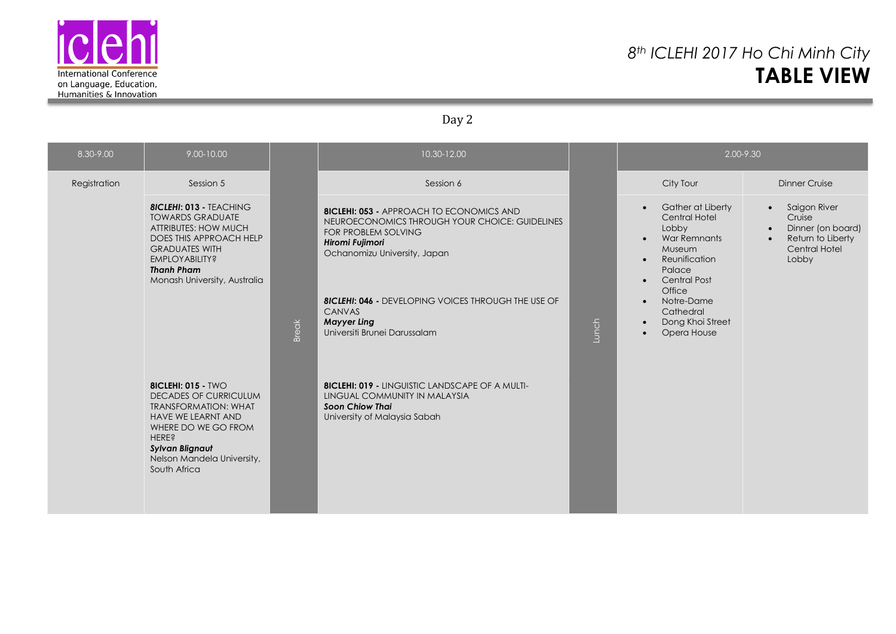

### *8th ICLEHI 2017 Ho Chi Minh City* **TABLE VIEW**

### Day 2

| 8.30-9.00    | 9.00-10.00                                                                                                                                                                                                                           |              | 10.30-12.00                                                                                                                                                                        |       | 2.00-9.30                                                                                                                                                                                                                                                               |                                                                                                                                          |  |
|--------------|--------------------------------------------------------------------------------------------------------------------------------------------------------------------------------------------------------------------------------------|--------------|------------------------------------------------------------------------------------------------------------------------------------------------------------------------------------|-------|-------------------------------------------------------------------------------------------------------------------------------------------------------------------------------------------------------------------------------------------------------------------------|------------------------------------------------------------------------------------------------------------------------------------------|--|
| Registration | Session 5                                                                                                                                                                                                                            |              | Session 6                                                                                                                                                                          |       | City Tour                                                                                                                                                                                                                                                               | <b>Dinner Cruise</b>                                                                                                                     |  |
|              | <b>8ICLEHI: 013 - TEACHING</b><br><b>TOWARDS GRADUATE</b><br><b>ATTRIBUTES: HOW MUCH</b><br>DOES THIS APPROACH HELP<br><b>GRADUATES WITH</b><br><b>EMPLOYABILITY?</b><br><b>Thanh Pham</b><br>Monash University, Australia           |              | <b>8ICLEHI: 053 - APPROACH TO ECONOMICS AND</b><br>NEUROECONOMICS THROUGH YOUR CHOICE: GUIDELINES<br><b>FOR PROBLEM SOLVING</b><br>Hiromi Fujimori<br>Ochanomizu University, Japan | Lunch | Gather at Liberty<br>$\bullet$<br>Central Hotel<br>Lobby<br><b>War Remnants</b><br>$\bullet$<br>Museum<br>Reunification<br>$\bullet$<br>Palace<br><b>Central Post</b><br>$\bullet$<br>Office<br>Notre-Dame<br>Cathedral<br>Dong Khoi Street<br>Opera House<br>$\bullet$ | Saigon River<br>$\bullet$<br>Cruise<br>Dinner (on board)<br>$\bullet$<br>Return to Liberty<br>$\bullet$<br><b>Central Hotel</b><br>Lobby |  |
|              |                                                                                                                                                                                                                                      | <b>Break</b> | <b>8ICLEHI: 046 - DEVELOPING VOICES THROUGH THE USE OF</b><br>CANVAS<br><b>Mayyer Ling</b><br>Universiti Brunei Darussalam                                                         |       |                                                                                                                                                                                                                                                                         |                                                                                                                                          |  |
|              | <b>8ICLEHI: 015 - TWO</b><br><b>DECADES OF CURRICULUM</b><br><b>TRANSFORMATION: WHAT</b><br><b>HAVE WE LEARNT AND</b><br>WHERE DO WE GO FROM<br><b>HERE?</b><br><b>Sylvan Blignaut</b><br>Nelson Mandela University,<br>South Africa |              | <b>8ICLEHI: 019 - LINGUISTIC LANDSCAPE OF A MULTI-</b><br>LINGUAL COMMUNITY IN MALAYSIA<br><b>Soon Chiow Thai</b><br>University of Malaysia Sabah                                  |       |                                                                                                                                                                                                                                                                         |                                                                                                                                          |  |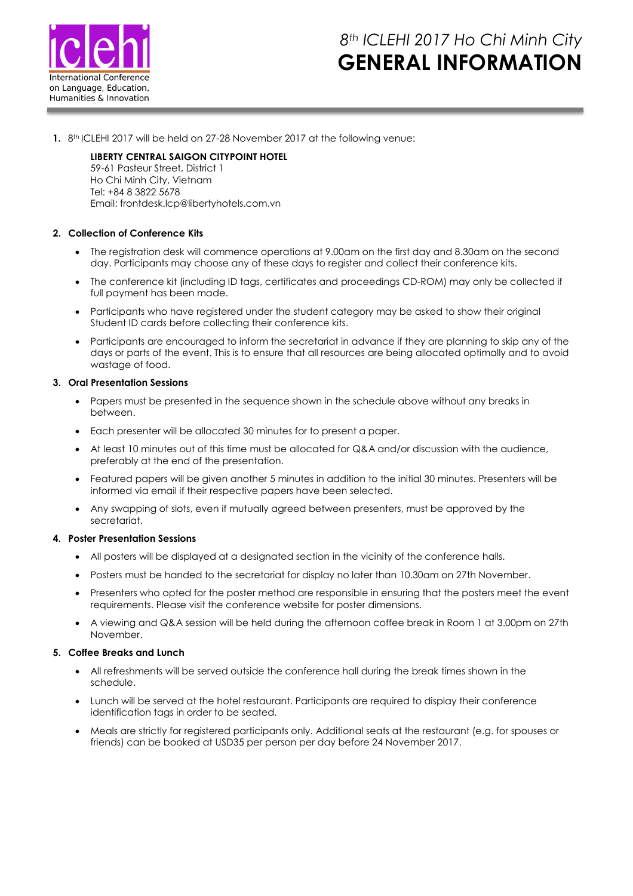

# *8th ICLEHI 2017 Ho Chi Minh City* **GENERAL INFORMATION**

**1.** 8 th ICLEHI 2017 will be held on 27-28 November 2017 at the following venue:

### **LIBERTY CENTRAL SAIGON CITYPOINT HOTEL**

59-61 Pasteur Street, District 1 Ho Chi Minh City, Vietnam Tel: +84 8 3822 5678 Email: frontdesk.lcp@libertyhotels.com.vn

### **2. Collection of Conference Kits**

- The registration desk will commence operations at 9.00am on the first day and 8.30am on the second day. Participants may choose any of these days to register and collect their conference kits.
- The conference kit (including ID tags, certificates and proceedings CD-ROM) may only be collected if full payment has been made.
- Participants who have registered under the student category may be asked to show their original Student ID cards before collecting their conference kits.
- Participants are encouraged to inform the secretariat in advance if they are planning to skip any of the days or parts of the event. This is to ensure that all resources are being allocated optimally and to avoid wastage of food.

#### **3. Oral Presentation Sessions**

- Papers must be presented in the sequence shown in the schedule above without any breaks in between.
- Each presenter will be allocated 30 minutes for to present a paper.
- At least 10 minutes out of this time must be allocated for Q&A and/or discussion with the audience, preferably at the end of the presentation.
- Featured papers will be given another 5 minutes in addition to the initial 30 minutes. Presenters will be informed via email if their respective papers have been selected.
- Any swapping of slots, even if mutually agreed between presenters, must be approved by the secretariat.

### **4. Poster Presentation Sessions**

- All posters will be displayed at a designated section in the vicinity of the conference halls.
- Posters must be handed to the secretariat for display no later than 10.30am on 27th November.
- Presenters who opted for the poster method are responsible in ensuring that the posters meet the event requirements. Please visit the conference website for poster dimensions.
- A viewing and Q&A session will be held during the afternoon coffee break in Room 1 at 3.00pm on 27th November.

#### **5. Coffee Breaks and Lunch**

- All refreshments will be served outside the conference hall during the break times shown in the schedule.
- Lunch will be served at the hotel restaurant. Participants are required to display their conference identification tags in order to be seated.
- Meals are strictly for registered participants only. Additional seats at the restaurant (e.g. for spouses or friends) can be booked at USD35 per person per day before 24 November 2017.